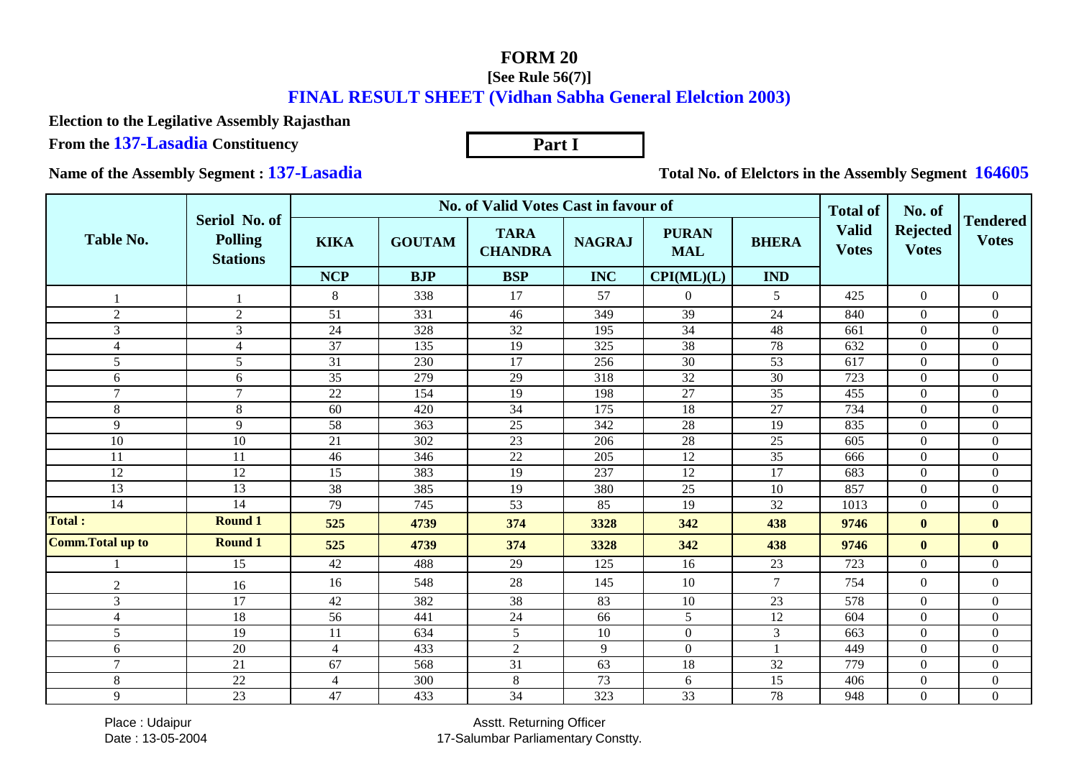## **FORM 20**

## **[See Rule 56(7)]FINAL RESULT SHEET (Vidhan Sabha General Elelction 2003)**

**Part I**

**Election to the Legilative Assembly Rajasthan**

**From the 137-Lasadia Constituency**

**Name of the Assembly Segment : 137-Lasadia**

**Total No. of Elelctors in the Assembly Segment 164605**

|                          |                                                    |                | No. of Valid Votes Cast in favour of | <b>Total of</b>               | No. of          |                            |                 |                              |                                 |                                 |
|--------------------------|----------------------------------------------------|----------------|--------------------------------------|-------------------------------|-----------------|----------------------------|-----------------|------------------------------|---------------------------------|---------------------------------|
| Table No.                | Seriol No. of<br><b>Polling</b><br><b>Stations</b> | <b>KIKA</b>    | <b>GOUTAM</b>                        | <b>TARA</b><br><b>CHANDRA</b> | <b>NAGRAJ</b>   | <b>PURAN</b><br><b>MAL</b> | <b>BHERA</b>    | <b>Valid</b><br><b>Votes</b> | <b>Rejected</b><br><b>Votes</b> | <b>Tendered</b><br><b>Votes</b> |
|                          |                                                    | <b>NCP</b>     | <b>BJP</b>                           | <b>BSP</b>                    | <b>INC</b>      | CPI(ML)(L)                 | <b>IND</b>      |                              |                                 |                                 |
|                          |                                                    | 8              | 338                                  | 17                            | 57              | $\Omega$                   | 5               | 425                          | $\boldsymbol{0}$                | $\mathbf{0}$                    |
| $\overline{2}$           | $\sqrt{2}$                                         | 51             | 331                                  | 46                            | 349             | 39                         | 24              | 840                          | $\mathbf{0}$                    | $\overline{0}$                  |
| 3                        | 3                                                  | 24             | 328                                  | $\overline{32}$               | 195             | 34                         | 48              | 661                          | $\mathbf{0}$                    | $\boldsymbol{0}$                |
| $\overline{4}$           | $\overline{4}$                                     | 37             | 135                                  | 19                            | 325             | 38                         | 78              | 632                          | $\mathbf{0}$                    | $\overline{0}$                  |
| 5                        | 5                                                  | 31             | 230                                  | 17                            | 256             | 30                         | 53              | 617                          | $\Omega$                        | $\boldsymbol{0}$                |
| 6                        | 6                                                  | 35             | 279                                  | 29                            | 318             | 32                         | 30              | 723                          | $\theta$                        | $\overline{0}$                  |
| $\tau$                   | $\overline{7}$                                     | 22             | 154                                  | 19                            | 198             | 27                         | 35              | 455                          | $\mathbf{0}$                    | $\overline{0}$                  |
| 8                        | 8                                                  | 60             | 420                                  | $\overline{34}$               | 175             | 18                         | 27              | 734                          | $\mathbf{0}$                    | $\boldsymbol{0}$                |
| 9                        | $\overline{9}$                                     | 58             | 363                                  | $25\,$                        | 342             | 28                         | 19              | 835                          | $\boldsymbol{0}$                | $\overline{0}$                  |
| 10                       | 10                                                 | 21             | 302                                  | 23                            | 206             | 28                         | 25              | 605                          | $\overline{0}$                  | $\boldsymbol{0}$                |
| 11                       | 11                                                 | 46             | 346                                  | $\overline{22}$               | 205             | $\overline{12}$            | $\overline{35}$ | 666                          | $\Omega$                        | $\overline{0}$                  |
| 12                       | 12                                                 | 15             | 383                                  | 19                            | 237             | 12                         | $\overline{17}$ | 683                          | $\mathbf{0}$                    | $\mathbf{0}$                    |
| 13                       | 13                                                 | 38             | 385                                  | 19                            | 380             | 25                         | 10              | 857                          | $\boldsymbol{0}$                | $\boldsymbol{0}$                |
| 14                       | 14                                                 | 79             | 745                                  | 53                            | 85              | 19                         | 32              | 1013                         | $\mathbf{0}$                    | $\overline{0}$                  |
| <b>Total:</b>            | <b>Round 1</b>                                     | 525            | 4739                                 | 374                           | 3328            | 342                        | 438             | 9746                         | $\mathbf{0}$                    | $\mathbf{0}$                    |
| <b>Comm. Total up to</b> | <b>Round 1</b>                                     | 525            | 4739                                 | 374                           | 3328            | 342                        | 438             | 9746                         | $\bf{0}$                        | $\bf{0}$                        |
|                          | 15                                                 | 42             | 488                                  | 29                            | 125             | 16                         | 23              | 723                          | $\mathbf{0}$                    | $\overline{0}$                  |
| $\mathfrak{2}$           | 16                                                 | 16             | 548                                  | 28                            | 145             | 10                         | $\overline{7}$  | 754                          | $\mathbf{0}$                    | $\overline{0}$                  |
| 3                        | 17                                                 | 42             | 382                                  | 38                            | 83              | 10                         | 23              | 578                          | $\overline{0}$                  | $\overline{0}$                  |
| $\overline{4}$           | 18                                                 | 56             | 441                                  | 24                            | 66              | 5                          | 12              | 604                          | $\mathbf{0}$                    | $\boldsymbol{0}$                |
| 5                        | 19                                                 | 11             | 634                                  | 5                             | 10              | $\boldsymbol{0}$           | 3               | 663                          | $\mathbf{0}$                    | $\boldsymbol{0}$                |
| 6                        | 20                                                 | $\overline{4}$ | 433                                  | $\overline{2}$                | 9               | $\boldsymbol{0}$           |                 | 449                          | $\overline{0}$                  | $\overline{0}$                  |
| $\overline{7}$           | 21                                                 | 67             | 568                                  | $\overline{31}$               | $\overline{63}$ | 18                         | $\overline{32}$ | 779                          | $\mathbf{0}$                    | $\overline{0}$                  |
| 8                        | 22                                                 | $\overline{4}$ | 300                                  | $\,8\,$                       | 73              | 6                          | 15              | 406                          | $\mathbf{0}$                    | $\boldsymbol{0}$                |
| 9                        | 23                                                 | 47             | 433                                  | 34                            | 323             | 33                         | 78              | 948                          | $\mathbf{0}$                    | $\overline{0}$                  |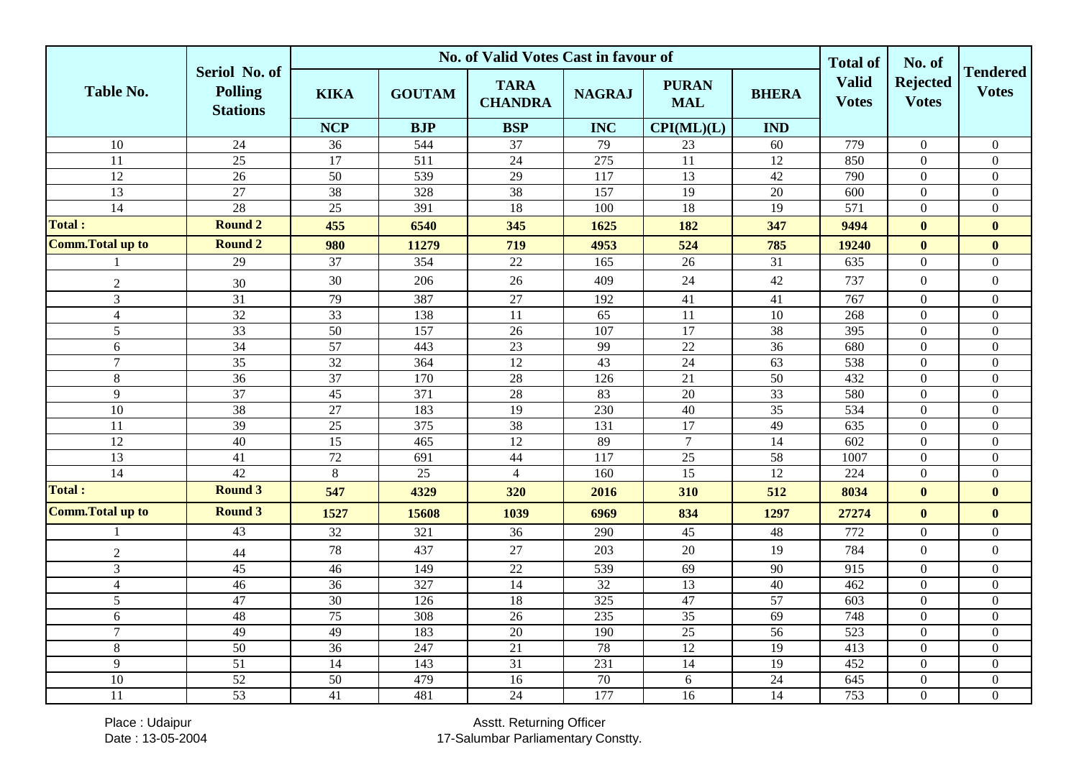|                          |                                                    | No. of Valid Votes Cast in favour of |                  |                               |                 |                            |                 |                              | No. of                          |                                 |
|--------------------------|----------------------------------------------------|--------------------------------------|------------------|-------------------------------|-----------------|----------------------------|-----------------|------------------------------|---------------------------------|---------------------------------|
| Table No.                | Seriol No. of<br><b>Polling</b><br><b>Stations</b> | <b>KIKA</b>                          | <b>GOUTAM</b>    | <b>TARA</b><br><b>CHANDRA</b> | <b>NAGRAJ</b>   | <b>PURAN</b><br><b>MAL</b> | <b>BHERA</b>    | <b>Valid</b><br><b>Votes</b> | <b>Rejected</b><br><b>Votes</b> | <b>Tendered</b><br><b>Votes</b> |
|                          |                                                    | <b>NCP</b>                           | <b>BJP</b>       | <b>BSP</b>                    | <b>INC</b>      | CPI(ML)(L)                 | <b>IND</b>      |                              |                                 |                                 |
| $\overline{10}$          | 24                                                 | 36                                   | 544              | 37                            | 79              | 23                         | 60              | 779                          | $\mathbf{0}$                    | $\boldsymbol{0}$                |
| $\overline{11}$          | 25                                                 | 17                                   | $\overline{511}$ | 24                            | 275             | 11                         | 12              | 850                          | $\boldsymbol{0}$                | $\boldsymbol{0}$                |
| $\overline{12}$          | 26                                                 | 50                                   | 539              | 29                            | 117             | 13                         | $\overline{42}$ | 790                          | $\mathbf{0}$                    | $\boldsymbol{0}$                |
| $\overline{13}$          | 27                                                 | 38                                   | 328              | $\overline{38}$               | 157             | $\overline{19}$            | 20              | 600                          | $\mathbf{0}$                    | $\boldsymbol{0}$                |
| $\overline{14}$          | 28                                                 | $\overline{25}$                      | 391              | $\overline{18}$               | 100             | 18                         | $\overline{19}$ | $\overline{571}$             | $\boldsymbol{0}$                | $\boldsymbol{0}$                |
| <b>Total:</b>            | Round 2                                            | 455                                  | 6540             | 345                           | 1625            | 182                        | 347             | 9494                         | $\bf{0}$                        | $\bf{0}$                        |
| <b>Comm. Total up to</b> | <b>Round 2</b>                                     | 980                                  | 11279            | 719                           | 4953            | 524                        | 785             | 19240                        | $\bf{0}$                        | $\bf{0}$                        |
|                          | 29                                                 | 37                                   | 354              | 22                            | 165             | 26                         | 31              | 635                          | $\overline{0}$                  | $\boldsymbol{0}$                |
| $\overline{c}$           | 30                                                 | 30                                   | 206              | 26                            | 409             | 24                         | 42              | 737                          | $\boldsymbol{0}$                | $\boldsymbol{0}$                |
| $\overline{3}$           | $\overline{31}$                                    | 79                                   | 387              | 27                            | 192             | 41                         | 41              | 767                          | $\mathbf{0}$                    | $\boldsymbol{0}$                |
| $\overline{4}$           | 32                                                 | 33                                   | 138              | 11                            | 65              | 11                         | 10              | 268                          | $\boldsymbol{0}$                | $\boldsymbol{0}$                |
| 5                        | $\overline{33}$                                    | $\overline{50}$                      | 157              | $\overline{26}$               | 107             | $\overline{17}$            | $\overline{38}$ | 395                          | $\boldsymbol{0}$                | $\overline{0}$                  |
| 6                        | 34                                                 | 57                                   | 443              | 23                            | 99              | $\overline{22}$            | 36              | 680                          | $\boldsymbol{0}$                | $\boldsymbol{0}$                |
| $\tau$                   | $\overline{35}$                                    | $\overline{32}$                      | 364              | $\overline{12}$               | 43              | $\overline{24}$            | 63              | 538                          | $\mathbf{0}$                    | $\boldsymbol{0}$                |
| 8                        | 36                                                 | 37                                   | 170              | 28                            | $\frac{126}{2}$ | 21                         | $\overline{50}$ | 432                          | $\mathbf{0}$                    | $\overline{0}$                  |
| 9                        | $\overline{37}$                                    | $\overline{45}$                      | 371              | 28                            | 83              | 20                         | 33              | 580                          | $\Omega$                        | $\boldsymbol{0}$                |
| 10                       | 38                                                 | $27\,$                               | 183              | 19                            | 230             | 40                         | 35              | 534                          | $\boldsymbol{0}$                | $\boldsymbol{0}$                |
| 11                       | $\overline{39}$                                    | $\overline{25}$                      | 375              | 38                            | 131             | $\overline{17}$            | 49              | 635                          | $\mathbf{0}$                    | $\boldsymbol{0}$                |
| $\overline{12}$          | 40                                                 | $\overline{15}$                      | 465              | $\overline{12}$               | 89              | $\overline{7}$             | 14              | 602                          | $\boldsymbol{0}$                | $\overline{0}$                  |
| 13                       | 41                                                 | 72                                   | 691              | 44                            | 117             | 25                         | 58              | 1007                         | $\mathbf{0}$                    | $\boldsymbol{0}$                |
| 14                       | 42                                                 | $8\,$                                | $\overline{25}$  | $\overline{4}$                | 160             | $\overline{15}$            | 12              | 224                          | $\boldsymbol{0}$                | $\boldsymbol{0}$                |
| <b>Total:</b>            | <b>Round 3</b>                                     | 547                                  | 4329             | 320                           | 2016            | 310                        | 512             | 8034                         | $\bf{0}$                        | $\bf{0}$                        |
| <b>Comm. Total up to</b> | <b>Round 3</b>                                     | 1527                                 | 15608            | 1039                          | 6969            | 834                        | 1297            | 27274                        | $\bf{0}$                        | $\bf{0}$                        |
|                          | 43                                                 | 32                                   | 321              | 36                            | 290             | 45                         | 48              | 772                          | $\boldsymbol{0}$                | $\boldsymbol{0}$                |
| $\overline{c}$           | 44                                                 | 78                                   | 437              | 27                            | 203             | 20                         | 19              | 784                          | $\boldsymbol{0}$                | $\overline{0}$                  |
| $\mathfrak{Z}$           | $\overline{45}$                                    | 46                                   | 149              | 22                            | 539             | 69                         | 90              | 915                          | $\mathbf{0}$                    | $\overline{0}$                  |
| $\overline{4}$           | $\overline{46}$                                    | $\overline{36}$                      | 327              | 14                            | $\overline{32}$ | $\overline{13}$            | 40              | 462                          | $\boldsymbol{0}$                | $\mathbf{0}$                    |
| 5                        | 47                                                 | 30                                   | $\overline{126}$ | $\overline{18}$               | $\frac{1}{325}$ | 47                         | $\overline{57}$ | 603                          | $\mathbf{0}$                    | $\boldsymbol{0}$                |
| 6                        | 48                                                 | 75                                   | 308              | 26                            | 235             | 35                         | 69              | 748                          | $\mathbf{0}$                    | $\boldsymbol{0}$                |
| $\tau$                   | 49                                                 | 49                                   | 183              | 20                            | 190             | $\overline{25}$            | 56              | 523                          | $\mathbf{0}$                    | $\boldsymbol{0}$                |
| 8                        | 50                                                 | 36                                   | 247              | 21                            | 78              | 12                         | 19              | 413                          | $\boldsymbol{0}$                | $\boldsymbol{0}$                |
| 9                        | 51                                                 | $\overline{14}$                      | 143              | 31                            | 231             | $\overline{14}$            | $\overline{19}$ | 452                          | $\boldsymbol{0}$                | $\boldsymbol{0}$                |
| $\overline{10}$          | 52                                                 | $\overline{50}$                      | 479              | $\overline{16}$               | $70\,$          | $6\,$                      | $\overline{24}$ | 645                          | $\boldsymbol{0}$                | $\boldsymbol{0}$                |
| 11                       | $\overline{53}$                                    | 41                                   | 481              | 24                            | 177             | 16                         | 14              | 753                          | $\boldsymbol{0}$                | $\boldsymbol{0}$                |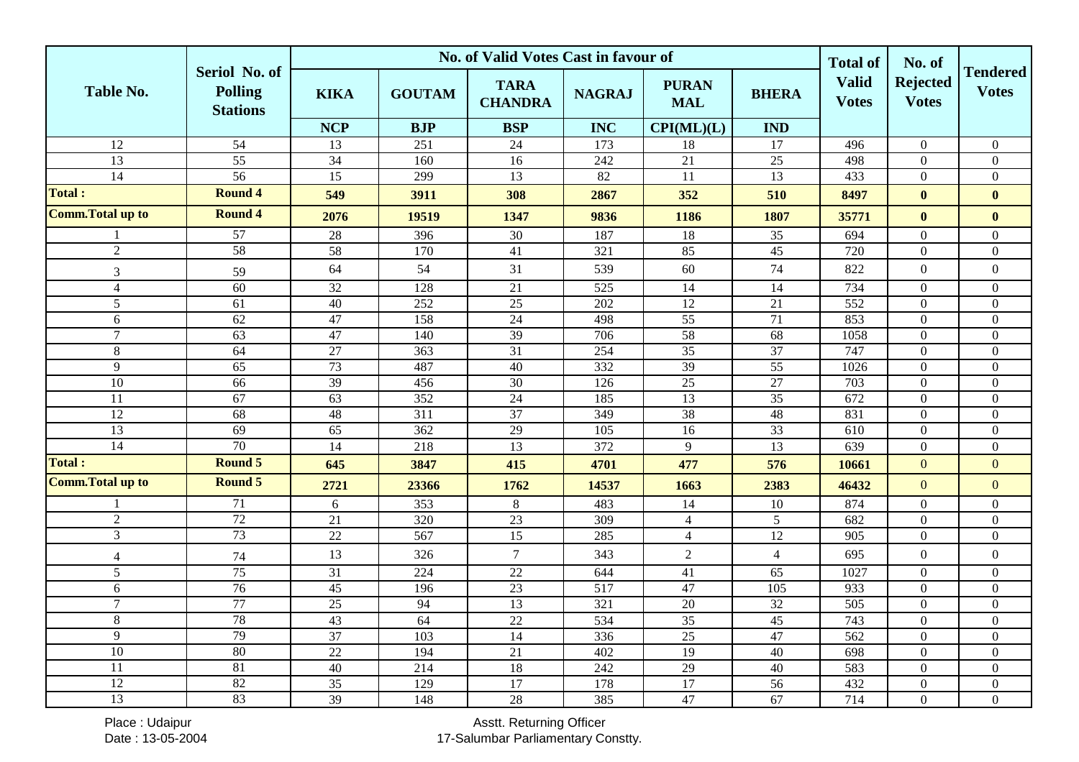|                          |                                                    | No. of Valid Votes Cast in favour of |                 |                               |                  |                            |                 |                                                 | No. of                          |                                 |
|--------------------------|----------------------------------------------------|--------------------------------------|-----------------|-------------------------------|------------------|----------------------------|-----------------|-------------------------------------------------|---------------------------------|---------------------------------|
| <b>Table No.</b>         | Seriol No. of<br><b>Polling</b><br><b>Stations</b> | <b>KIKA</b>                          | <b>GOUTAM</b>   | <b>TARA</b><br><b>CHANDRA</b> | <b>NAGRAJ</b>    | <b>PURAN</b><br><b>MAL</b> | <b>BHERA</b>    | <b>Total of</b><br><b>Valid</b><br><b>Votes</b> | <b>Rejected</b><br><b>Votes</b> | <b>Tendered</b><br><b>Votes</b> |
|                          |                                                    | <b>NCP</b>                           | <b>BJP</b>      | <b>BSP</b>                    | <b>INC</b>       | CPI(ML)(L)                 | <b>IND</b>      |                                                 |                                 |                                 |
| 12                       | $\overline{54}$                                    | 13                                   | 251             | 24                            | 173              | 18                         | 17              | 496                                             | $\overline{0}$                  | $\overline{0}$                  |
| $\overline{13}$          | 55                                                 | 34                                   | 160             | 16                            | 242              | 21                         | 25              | 498                                             | $\boldsymbol{0}$                | $\boldsymbol{0}$                |
| 14                       | 56                                                 | $\overline{15}$                      | 299             | 13                            | 82               | 11                         | 13              | 433                                             | $\mathbf{0}$                    | $\overline{0}$                  |
| Total :                  | <b>Round 4</b>                                     | 549                                  | 3911            | 308                           | 2867             | 352                        | 510             | 8497                                            | $\bf{0}$                        | $\mathbf{0}$                    |
| <b>Comm. Total up to</b> | <b>Round 4</b>                                     | 2076                                 | 19519           | 1347                          | 9836             | 1186                       | 1807            | 35771                                           | $\bf{0}$                        | $\mathbf{0}$                    |
|                          | $\overline{57}$                                    | $28\,$                               | 396             | 30                            | 187              | 18                         | 35              | 694                                             | $\boldsymbol{0}$                | $\mathbf{0}$                    |
| $\overline{2}$           | 58                                                 | 58                                   | 170             | $\overline{41}$               | 321              | 85                         | $\overline{45}$ | 720                                             | $\overline{0}$                  | $\boldsymbol{0}$                |
| 3                        | 59                                                 | 64                                   | 54              | 31                            | 539              | 60                         | 74              | 822                                             | $\boldsymbol{0}$                | $\boldsymbol{0}$                |
| $\overline{4}$           | $\overline{60}$                                    | $\overline{32}$                      | 128             | 21                            | 525              | 14                         | 14              | 734                                             | $\boldsymbol{0}$                | $\boldsymbol{0}$                |
| 5                        | 61                                                 | 40                                   | 252             | $\overline{25}$               | $\overline{202}$ | $\overline{12}$            | 21              | $\overline{552}$                                | $\overline{0}$                  | $\mathbf{0}$                    |
| 6                        | 62                                                 | 47                                   | 158             | 24                            | 498              | 55                         | 71              | 853                                             | $\mathbf{0}$                    | $\boldsymbol{0}$                |
| $\overline{7}$           | 63                                                 | 47                                   | 140             | $\overline{39}$               | 706              | 58                         | 68              | 1058                                            | $\overline{0}$                  | $\boldsymbol{0}$                |
| 8                        | 64                                                 | 27                                   | 363             | 31                            | 254              | $\overline{35}$            | 37              | 747                                             | $\boldsymbol{0}$                | $\boldsymbol{0}$                |
| 9                        | 65                                                 | 73                                   | 487             | 40                            | 332              | 39                         | 55              | 1026                                            | $\boldsymbol{0}$                | $\overline{0}$                  |
| 10                       | 66                                                 | 39                                   | 456             | 30                            | 126              | 25                         | 27              | 703                                             | $\boldsymbol{0}$                | $\mathbf{0}$                    |
| $\overline{11}$          | 67                                                 | 63                                   | 352             | 24                            | 185              | 13                         | $\overline{35}$ | $\overline{672}$                                | $\overline{0}$                  | $\overline{0}$                  |
| $\overline{12}$          | 68                                                 | $\overline{48}$                      | 311             | $\overline{37}$               | 349              | 38                         | 48              | 831                                             | $\boldsymbol{0}$                | $\mathbf{0}$                    |
| 13                       | 69                                                 | 65                                   | 362             | 29                            | 105              | 16                         | 33              | 610                                             | $\mathbf{0}$                    | $\boldsymbol{0}$                |
| 14                       | 70                                                 | $\overline{14}$                      | 218             | $\overline{13}$               | 372              | 9                          | $\overline{13}$ | 639                                             | $\boldsymbol{0}$                | $\boldsymbol{0}$                |
| <b>Total:</b>            | Round 5                                            | 645                                  | 3847            | 415                           | 4701             | 477                        | 576             | 10661                                           | $\mathbf{0}$                    | $\boldsymbol{0}$                |
| <b>Comm. Total up to</b> | Round 5                                            | 2721                                 | 23366           | 1762                          | 14537            | 1663                       | 2383            | 46432                                           | $\overline{0}$                  | $\overline{0}$                  |
| -1                       | 71                                                 | 6                                    | 353             | $8\,$                         | 483              | 14                         | 10              | 874                                             | $\mathbf{0}$                    | $\boldsymbol{0}$                |
| $\overline{2}$           | 72                                                 | $\overline{21}$                      | 320             | $\overline{23}$               | 309              | $\overline{4}$             | 5               | 682                                             | $\mathbf{0}$                    | $\boldsymbol{0}$                |
| $\mathfrak{Z}$           | 73                                                 | 22                                   | 567             | 15                            | 285              | $\overline{4}$             | 12              | 905                                             | $\boldsymbol{0}$                | $\boldsymbol{0}$                |
| $\overline{4}$           | 74                                                 | 13                                   | 326             | $\overline{7}$                | 343              | $\overline{2}$             | $\overline{4}$  | 695                                             | $\boldsymbol{0}$                | $\boldsymbol{0}$                |
| 5                        | 75                                                 | $\overline{31}$                      | 224             | $\overline{22}$               | 644              | 41                         | 65              | 1027                                            | $\boldsymbol{0}$                | $\mathbf{0}$                    |
| 6                        | 76                                                 | $\overline{45}$                      | 196             | 23                            | 517              | 47                         | 105             | 933                                             | $\boldsymbol{0}$                | $\boldsymbol{0}$                |
| $\overline{7}$           | 77                                                 | $\overline{25}$                      | 94              | $\overline{13}$               | 321              | 20                         | 32              | 505                                             | $\mathbf{0}$                    | $\boldsymbol{0}$                |
| 8                        | 78                                                 | 43                                   | $\overline{64}$ | 22                            | 534              | $\overline{35}$            | 45              | 743                                             | $\mathbf{0}$                    | $\boldsymbol{0}$                |
| 9                        | 79                                                 | 37                                   | 103             | 14                            | 336              | $\overline{25}$            | 47              | 562                                             | $\boldsymbol{0}$                | $\boldsymbol{0}$                |
| $\overline{10}$          | 80                                                 | $\overline{22}$                      | 194             | 21                            | 402              | 19                         | 40              | 698                                             | $\boldsymbol{0}$                | $\boldsymbol{0}$                |
| 11                       | 81                                                 | 40                                   | 214             | $\overline{18}$               | 242              | 29                         | 40              | 583                                             | $\boldsymbol{0}$                | $\mathbf{0}$                    |
| $\overline{12}$          | 82                                                 | $\overline{35}$                      | 129             | $\overline{17}$               | 178              | 17                         | 56              | 432                                             | $\boldsymbol{0}$                | $\boldsymbol{0}$                |
| 13                       | 83                                                 | $\overline{39}$                      | 148             | 28                            | 385              | 47                         | 67              | 714                                             | $\boldsymbol{0}$                | $\boldsymbol{0}$                |

Place : Udaipur Date : 13-05-2004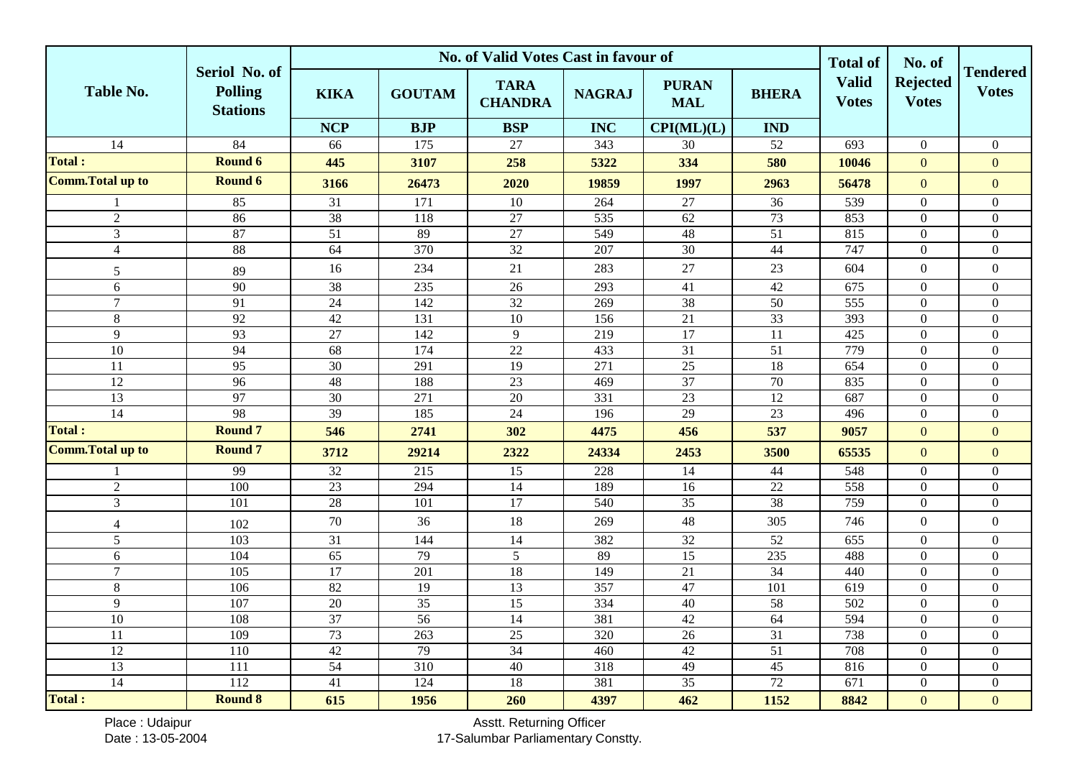|                          |                                                    | No. of Valid Votes Cast in favour of |                  |                               |                  |                            |                 |                              | No. of                          |                                 |
|--------------------------|----------------------------------------------------|--------------------------------------|------------------|-------------------------------|------------------|----------------------------|-----------------|------------------------------|---------------------------------|---------------------------------|
| <b>Table No.</b>         | Seriol No. of<br><b>Polling</b><br><b>Stations</b> | <b>KIKA</b>                          | <b>GOUTAM</b>    | <b>TARA</b><br><b>CHANDRA</b> | <b>NAGRAJ</b>    | <b>PURAN</b><br><b>MAL</b> | <b>BHERA</b>    | <b>Valid</b><br><b>Votes</b> | <b>Rejected</b><br><b>Votes</b> | <b>Tendered</b><br><b>Votes</b> |
|                          |                                                    | <b>NCP</b>                           | <b>BJP</b>       | <b>BSP</b>                    | <b>INC</b>       | CPI(ML)(L)                 | <b>IND</b>      |                              |                                 |                                 |
| 14                       | $\overline{84}$                                    | 66                                   | 175              | 27                            | 343              | 30                         | 52              | 693                          | $\boldsymbol{0}$                | $\mathbf{0}$                    |
| <b>Total:</b>            | Round 6                                            | 445                                  | 3107             | 258                           | 5322             | 334                        | 580             | 10046                        | $\mathbf{0}$                    | $\mathbf{0}$                    |
| <b>Comm. Total up to</b> | Round 6                                            | 3166                                 | 26473            | 2020                          | 19859            | 1997                       | 2963            | 56478                        | $\boldsymbol{0}$                | $\overline{0}$                  |
|                          | 85                                                 | 31                                   | 171              | 10                            | 264              | $27\,$                     | 36              | 539                          | $\mathbf{0}$                    | $\boldsymbol{0}$                |
| $\overline{2}$           | 86                                                 | 38                                   | 118              | 27                            | 535              | 62                         | 73              | 853                          | $\boldsymbol{0}$                | $\boldsymbol{0}$                |
| 3                        | 87                                                 | $\overline{51}$                      | 89               | $\overline{27}$               | 549              | $48\,$                     | 51              | 815                          | $\theta$                        | $\mathbf{0}$                    |
| $\overline{4}$           | 88                                                 | 64                                   | 370              | $\overline{32}$               | 207              | $\overline{30}$            | 44              | 747                          | $\boldsymbol{0}$                | $\mathbf{0}$                    |
| 5                        | 89                                                 | 16                                   | 234              | 21                            | 283              | 27                         | 23              | 604                          | $\mathbf{0}$                    | $\mathbf{0}$                    |
| 6                        | 90                                                 | $\overline{38}$                      | 235              | $\overline{26}$               | 293              | $\overline{41}$            | 42              | 675                          | $\overline{0}$                  | $\boldsymbol{0}$                |
| $\overline{7}$           | $\overline{91}$                                    | $\overline{24}$                      | 142              | 32                            | 269              | 38                         | $\overline{50}$ | 555                          | $\mathbf{0}$                    | $\boldsymbol{0}$                |
| 8                        | 92                                                 | 42                                   | 131              | 10                            | 156              | 21                         | 33              | 393                          | $\mathbf{0}$                    | $\boldsymbol{0}$                |
| 9                        | 93                                                 | $\overline{27}$                      | 142              | 9                             | 219              | $\overline{17}$            | 11              | 425                          | $\boldsymbol{0}$                | $\boldsymbol{0}$                |
| $\overline{10}$          | 94                                                 | 68                                   | 174              | $\overline{22}$               | 433              | 31                         | $\overline{51}$ | 779                          | $\boldsymbol{0}$                | $\boldsymbol{0}$                |
| 11                       | $\overline{95}$                                    | 30                                   | 291              | 19                            | 271              | 25                         | 18              | $\overline{654}$             | $\mathbf{0}$                    | $\mathbf{0}$                    |
| 12                       | 96                                                 | 48                                   | 188              | 23                            | 469              | 37                         | 70              | 835                          | $\mathbf{0}$                    | $\boldsymbol{0}$                |
| $\overline{13}$          | 97                                                 | 30                                   | 271              | $\overline{20}$               | 331              | $\overline{23}$            | $\overline{12}$ | 687                          | $\boldsymbol{0}$                | $\boldsymbol{0}$                |
| 14                       | 98                                                 | 39                                   | 185              | 24                            | 196              | 29                         | 23              | 496                          | $\boldsymbol{0}$                | $\boldsymbol{0}$                |
| <b>Total:</b>            | <b>Round 7</b>                                     | 546                                  | 2741             | 302                           | 4475             | 456                        | 537             | 9057                         | $\mathbf{0}$                    | $\overline{0}$                  |
| <b>Comm. Total up to</b> | <b>Round 7</b>                                     | 3712                                 | 29214            | 2322                          | 24334            | 2453                       | 3500            | 65535                        | $\mathbf{0}$                    | $\boldsymbol{0}$                |
|                          | 99                                                 | $\overline{32}$                      | 215              | 15                            | 228              | 14                         | 44              | 548                          | $\mathbf{0}$                    | $\boldsymbol{0}$                |
| $\sqrt{2}$               | 100                                                | 23                                   | 294              | 14                            | 189              | 16                         | 22              | 558                          | $\boldsymbol{0}$                | $\boldsymbol{0}$                |
| $\overline{3}$           | 101                                                | 28                                   | 101              | $\overline{17}$               | 540              | 35                         | 38              | 759                          | $\boldsymbol{0}$                | $\boldsymbol{0}$                |
| $\overline{4}$           | 102                                                | 70                                   | 36               | 18                            | 269              | 48                         | 305             | 746                          | $\boldsymbol{0}$                | $\boldsymbol{0}$                |
| 5                        | 103                                                | $\overline{31}$                      | 144              | 14                            | 382              | $\overline{32}$            | 52              | 655                          | $\mathbf{0}$                    | $\mathbf{0}$                    |
| 6                        | 104                                                | $\overline{65}$                      | 79               | $\mathfrak{S}$                | 89               | $\overline{15}$            | 235             | 488                          | $\boldsymbol{0}$                | $\overline{0}$                  |
| $\overline{7}$           | 105                                                | $\overline{17}$                      | 201              | 18                            | 149              | 21                         | 34              | 440                          | $\boldsymbol{0}$                | $\boldsymbol{0}$                |
| 8                        | 106                                                | 82                                   | $\overline{19}$  | $\overline{13}$               | 357              | 47                         | 101             | 619                          | $\mathbf{0}$                    | $\boldsymbol{0}$                |
| 9                        | 107                                                | $\overline{20}$                      | $\overline{35}$  | $\overline{15}$               | 334              | 40                         | 58              | $\overline{502}$             | $\boldsymbol{0}$                | $\boldsymbol{0}$                |
| 10                       | 108                                                | 37                                   | $\overline{56}$  | $\overline{14}$               | 381              | $\overline{42}$            | $\overline{64}$ | 594                          | $\Omega$                        | $\boldsymbol{0}$                |
| 11                       | 109                                                | 73                                   | 263              | $\overline{25}$               | 320              | 26                         | 31              | 738                          | $\boldsymbol{0}$                | $\boldsymbol{0}$                |
| $\overline{12}$          | 110                                                | 42                                   | 79               | 34                            | 460              | 42                         | $\overline{51}$ | 708                          | $\boldsymbol{0}$                | $\boldsymbol{0}$                |
| 13                       | $\overline{111}$                                   | 54                                   | $\overline{310}$ | 40                            | $\overline{318}$ | 49                         | 45              | 816                          | $\overline{0}$                  | $\boldsymbol{0}$                |
| $\overline{14}$          | 112                                                | $\overline{41}$                      | 124              | 18                            | 381              | $\overline{35}$            | 72              | 671                          | $\boldsymbol{0}$                | $\boldsymbol{0}$                |
| Total :                  | <b>Round 8</b>                                     | 615                                  | 1956             | 260                           | 4397             | 462                        | 1152            | 8842                         | $\overline{0}$                  | $\overline{0}$                  |

Place : Udaipur Date : 13-05-2004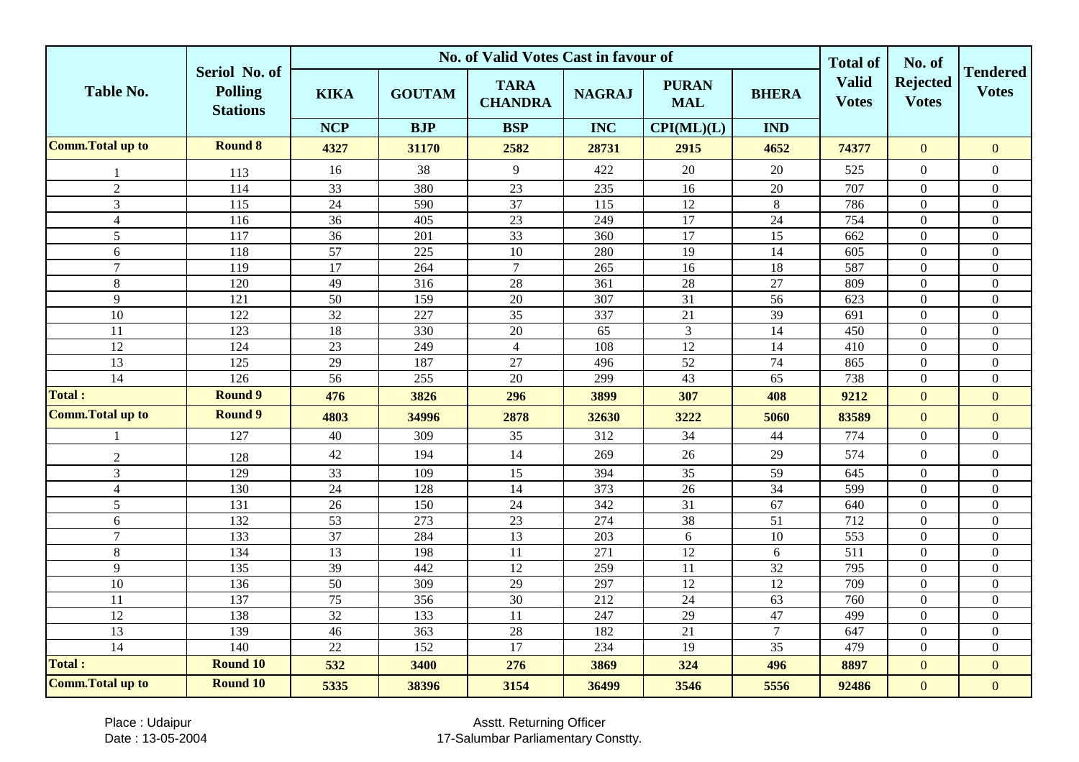|                          |                                                    |                 |                  | No. of Valid Votes Cast in favour of |                  |                            |                 | <b>Total of</b>              | No. of                          |                                 |
|--------------------------|----------------------------------------------------|-----------------|------------------|--------------------------------------|------------------|----------------------------|-----------------|------------------------------|---------------------------------|---------------------------------|
| <b>Table No.</b>         | Seriol No. of<br><b>Polling</b><br><b>Stations</b> | <b>KIKA</b>     | <b>GOUTAM</b>    | <b>TARA</b><br><b>CHANDRA</b>        | <b>NAGRAJ</b>    | <b>PURAN</b><br><b>MAL</b> | <b>BHERA</b>    | <b>Valid</b><br><b>Votes</b> | <b>Rejected</b><br><b>Votes</b> | <b>Tendered</b><br><b>Votes</b> |
|                          |                                                    | <b>NCP</b>      | <b>BJP</b>       | <b>BSP</b>                           | <b>INC</b>       | CPI(ML)(L)                 | <b>IND</b>      |                              |                                 |                                 |
| <b>Comm. Total up to</b> | <b>Round 8</b>                                     | 4327            | 31170            | 2582                                 | 28731            | 2915                       | 4652            | 74377                        | $\Omega$                        | $\mathbf{0}$                    |
|                          | 113                                                | 16              | 38               | 9                                    | 422              | 20                         | 20              | 525                          | $\overline{0}$                  | $\overline{0}$                  |
| $\overline{2}$           | 114                                                | 33              | 380              | 23                                   | 235              | 16                         | $20\,$          | 707                          | $\overline{0}$                  | $\overline{0}$                  |
| 3                        | $\overline{115}$                                   | $\overline{24}$ | 590              | $\overline{37}$                      | 115              | 12                         | 8               | 786                          | $\theta$                        | $\overline{0}$                  |
| $\overline{4}$           | 116                                                | 36              | 405              | 23                                   | 249              | 17                         | 24              | 754                          | $\mathbf{0}$                    | $\overline{0}$                  |
| $\overline{5}$           | 117                                                | 36              | 201              | 33                                   | 360              | $\overline{17}$            | $\overline{15}$ | 662                          | $\mathbf{0}$                    | $\overline{0}$                  |
| 6                        | 118                                                | 57              | 225              | 10                                   | 280              | $\overline{19}$            | 14              | 605                          | $\mathbf{0}$                    | $\overline{0}$                  |
| $\overline{7}$           | 119                                                | 17              | 264              | $\overline{7}$                       | 265              | 16                         | 18              | 587                          | $\mathbf{0}$                    | $\overline{0}$                  |
| $\,8\,$                  | 120                                                | 49              | 316              | 28                                   | 361              | 28                         | $\overline{27}$ | 809                          | $\mathbf{0}$                    | $\boldsymbol{0}$                |
| $\overline{9}$           | 121                                                | 50              | 159              | 20                                   | 307              | 31                         | 56              | 623                          | $\boldsymbol{0}$                | $\boldsymbol{0}$                |
| $\overline{10}$          | 122                                                | $\overline{32}$ | 227              | $\overline{35}$                      | 337              | $\overline{21}$            | 39              | 691                          | $\boldsymbol{0}$                | $\overline{0}$                  |
| 11                       | $\overline{123}$                                   | 18              | 330              | 20                                   | $\overline{65}$  | $\overline{3}$             | $\overline{14}$ | 450                          | $\overline{0}$                  | $\boldsymbol{0}$                |
| 12                       | 124                                                | $\overline{23}$ | 249              | $\overline{4}$                       | 108              | 12                         | 14              | 410                          | $\boldsymbol{0}$                | $\boldsymbol{0}$                |
| 13                       | 125                                                | $\overline{29}$ | 187              | $\overline{27}$                      | 496              | $\overline{52}$            | 74              | 865                          | $\boldsymbol{0}$                | $\overline{0}$                  |
| $\overline{14}$          | 126                                                | $\overline{56}$ | 255              | 20                                   | 299              | 43                         | 65              | 738                          | $\mathbf{0}$                    | $\overline{0}$                  |
| <b>Total:</b>            | <b>Round 9</b>                                     | 476             | 3826             | 296                                  | 3899             | 307                        | 408             | 9212                         | $\overline{0}$                  | $\mathbf{0}$                    |
| <b>Comm. Total up to</b> | <b>Round 9</b>                                     | 4803            | 34996            | 2878                                 | 32630            | 3222                       | 5060            | 83589                        | $\mathbf{0}$                    | $\mathbf{0}$                    |
| $\mathbf{1}$             | 127                                                | 40              | 309              | 35                                   | 312              | 34                         | 44              | 774                          | $\boldsymbol{0}$                | $\overline{0}$                  |
| $\overline{2}$           | 128                                                | 42              | 194              | 14                                   | 269              | 26                         | 29              | 574                          | $\boldsymbol{0}$                | $\boldsymbol{0}$                |
| $\overline{3}$           | 129                                                | 33              | 109              | $\overline{15}$                      | 394              | $\overline{35}$            | 59              | 645                          | $\boldsymbol{0}$                | $\overline{0}$                  |
| $\overline{4}$           | 130                                                | 24              | 128              | $\overline{14}$                      | $\frac{1}{373}$  | $\overline{26}$            | $\overline{34}$ | 599                          | $\mathbf{0}$                    | $\overline{0}$                  |
| 5                        | 131                                                | $\overline{26}$ | 150              | $\overline{24}$                      | $\overline{342}$ | $\overline{31}$            | $\overline{67}$ | 640                          | $\overline{0}$                  | $\overline{0}$                  |
| 6                        | 132                                                | $\overline{53}$ | 273              | 23                                   | 274              | 38                         | $\overline{51}$ | 712                          | $\overline{0}$                  | $\boldsymbol{0}$                |
| $\overline{7}$           | 133                                                | 37              | 284              | 13                                   | 203              | 6                          | $\overline{10}$ | 553                          | $\boldsymbol{0}$                | $\overline{0}$                  |
| $\,8\,$                  | 134                                                | 13              | 198              | 11                                   | 271              | 12                         | 6               | 511                          | $\boldsymbol{0}$                | $\boldsymbol{0}$                |
| 9                        | 135                                                | 39              | 442              | 12                                   | 259              | 11                         | 32              | 795                          | $\overline{0}$                  | $\overline{0}$                  |
| 10                       | 136                                                | $\overline{50}$ | $30\overline{9}$ | 29                                   | 297              | 12                         | 12              | 709                          | $\overline{0}$                  | $\overline{0}$                  |
| 11                       | 137                                                | 75              | 356              | 30                                   | 212              | 24                         | 63              | 760                          | $\mathbf{0}$                    | $\overline{0}$                  |
| $\overline{12}$          | 138                                                | 32              | 133              | $\overline{11}$                      | 247              | 29                         | 47              | 499                          | $\mathbf{0}$                    | $\overline{0}$                  |
| 13                       | 139                                                | 46              | 363              | 28                                   | 182              | $\overline{21}$            | $\overline{7}$  | $\overline{647}$             | $\theta$                        | $\overline{0}$                  |
| $\overline{14}$          | 140                                                | $\overline{22}$ | 152              | 17                                   | 234              | $\overline{19}$            | $\overline{35}$ | 479                          | $\overline{0}$                  | $\overline{0}$                  |
| <b>Total:</b>            | <b>Round 10</b>                                    | 532             | 3400             | 276                                  | 3869             | 324                        | 496             | 8897                         | $\overline{0}$                  | $\overline{0}$                  |
| <b>Comm. Total up to</b> | <b>Round 10</b>                                    | 5335            | 38396            | 3154                                 | 36499            | 3546                       | 5556            | 92486                        | $\mathbf{0}$                    | $\mathbf{0}$                    |